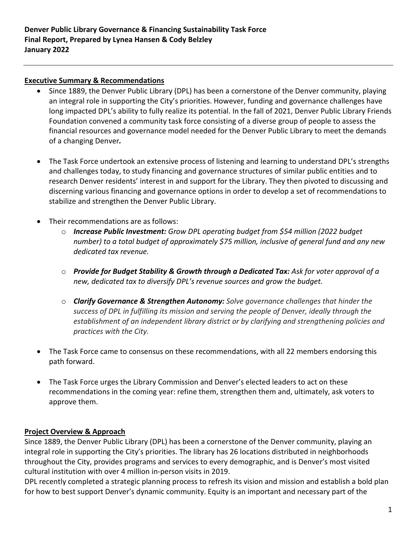## **Executive Summary & Recommendations**

- Since 1889, the Denver Public Library (DPL) has been a cornerstone of the Denver community, playing an integral role in supporting the City's priorities. However, funding and governance challenges have long impacted DPL's ability to fully realize its potential. In the fall of 2021, Denver Public Library Friends Foundation convened a community task force consisting of a diverse group of people to assess the financial resources and governance model needed for the Denver Public Library to meet the demands of a changing Denver*.*
- The Task Force undertook an extensive process of listening and learning to understand DPL's strengths and challenges today, to study financing and governance structures of similar public entities and to research Denver residents' interest in and support for the Library. They then pivoted to discussing and discerning various financing and governance options in order to develop a set of recommendations to stabilize and strengthen the Denver Public Library.
- Their recommendations are as follows:
	- o *Increase Public Investment: Grow DPL operating budget from \$54 million (2022 budget number) to a total budget of approximately \$75 million, inclusive of general fund and any new dedicated tax revenue.*
	- o *Provide for Budget Stability & Growth through a Dedicated Tax: Ask for voter approval of a new, dedicated tax to diversify DPL's revenue sources and grow the budget.*
	- o *Clarify Governance & Strengthen Autonomy: Solve governance challenges that hinder the success of DPL in fulfilling its mission and serving the people of Denver, ideally through the establishment of an independent library district or by clarifying and strengthening policies and practices with the City.*
- The Task Force came to consensus on these recommendations, with all 22 members endorsing this path forward.
- The Task Force urges the Library Commission and Denver's elected leaders to act on these recommendations in the coming year: refine them, strengthen them and, ultimately, ask voters to approve them.

# **Project Overview & Approach**

Since 1889, the Denver Public Library (DPL) has been a cornerstone of the Denver community, playing an integral role in supporting the City's priorities. The library has 26 locations distributed in neighborhoods throughout the City, provides programs and services to every demographic, and is Denver's most visited cultural institution with over 4 million in-person visits in 2019.

DPL recently completed a strategic planning process to refresh its vision and mission and establish a bold plan for how to best support Denver's dynamic community. Equity is an important and necessary part of the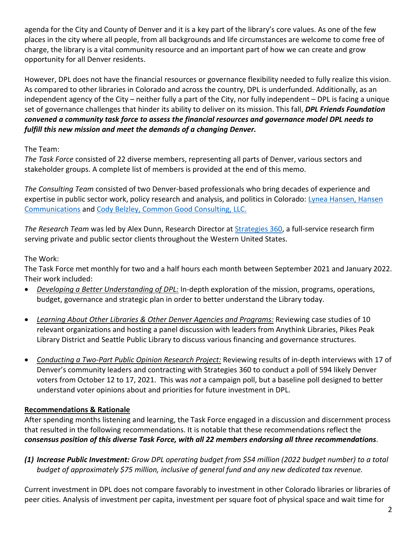agenda for the City and County of Denver and it is a key part of the library's core values. As one of the few places in the city where all people, from all backgrounds and life circumstances are welcome to come free of charge, the library is a vital community resource and an important part of how we can create and grow opportunity for all Denver residents.

However, DPL does not have the financial resources or governance flexibility needed to fully realize this vision. As compared to other libraries in Colorado and across the country, DPL is underfunded. Additionally, as an independent agency of the City – neither fully a part of the City, nor fully independent – DPL is facing a unique set of governance challenges that hinder its ability to deliver on its mission. This fall, *DPL Friends Foundation convened a community task force to assess the financial resources and governance model DPL needs to fulfill this new mission and meet the demands of a changing Denver.*

# The Team:

*The Task Force* consisted of 22 diverse members, representing all parts of Denver, various sectors and stakeholder groups. A complete list of members is provided at the end of this memo.

*The Consulting Team* consisted of two Denver-based professionals who bring decades of experience and expertise in public sector work, policy research and analysis, and politics in Colorado: [Lynea Hansen, Hansen](http://lyneahansen.com/)  [Communications](http://lyneahansen.com/) and [Cody Belzley, Common Good Consulting, LLC.](https://www.linkedin.com/in/codybelzley/)

*The Research Team* was led by Alex Dunn, Research Director at [Strategies 360,](https://www.strategies360.com/) a full-service research firm serving private and public sector clients throughout the Western United States.

# The Work:

The Task Force met monthly for two and a half hours each month between September 2021 and January 2022. Their work included:

- *Developing a Better Understanding of DPL:* In-depth exploration of the mission, programs, operations, budget, governance and strategic plan in order to better understand the Library today.
- *Learning About Other Libraries & Other Denver Agencies and Programs:* Reviewing case studies of 10 relevant organizations and hosting a panel discussion with leaders from Anythink Libraries, Pikes Peak Library District and Seattle Public Library to discuss various financing and governance structures.
- *Conducting a Two-Part Public Opinion Research Project:* Reviewing results of in-depth interviews with 17 of Denver's community leaders and contracting with Strategies 360 to conduct a poll of 594 likely Denver voters from October 12 to 17, 2021. This was *not* a campaign poll, but a baseline poll designed to better understand voter opinions about and priorities for future investment in DPL.

## **Recommendations & Rationale**

After spending months listening and learning, the Task Force engaged in a discussion and discernment process that resulted in the following recommendations. It is notable that these recommendations reflect the *consensus position of this diverse Task Force, with all 22 members endorsing all three recommendations*.

*(1) Increase Public Investment: Grow DPL operating budget from \$54 million (2022 budget number) to a total budget of approximately \$75 million, inclusive of general fund and any new dedicated tax revenue.*

Current investment in DPL does not compare favorably to investment in other Colorado libraries or libraries of peer cities. Analysis of investment per capita, investment per square foot of physical space and wait time for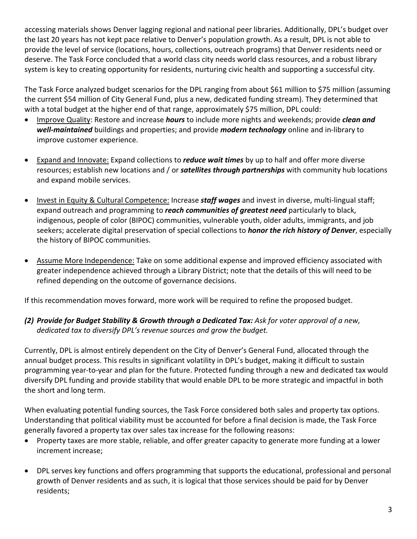accessing materials shows Denver lagging regional and national peer libraries. Additionally, DPL's budget over the last 20 years has not kept pace relative to Denver's population growth. As a result, DPL is not able to provide the level of service (locations, hours, collections, outreach programs) that Denver residents need or deserve. The Task Force concluded that a world class city needs world class resources, and a robust library system is key to creating opportunity for residents, nurturing civic health and supporting a successful city.

The Task Force analyzed budget scenarios for the DPL ranging from about \$61 million to \$75 million (assuming the current \$54 million of City General Fund, plus a new, dedicated funding stream). They determined that with a total budget at the higher end of that range, approximately \$75 million, DPL could:

- Improve Quality: Restore and increase *hours* to include more nights and weekends; provide *clean and well-maintained* buildings and properties; and provide *modern technology* online and in-library to improve customer experience.
- Expand and Innovate: Expand collections to *reduce wait times* by up to half and offer more diverse resources; establish new locations and / or *satellites through partnerships* with community hub locations and expand mobile services.
- Invest in Equity & Cultural Competence: Increase *staff wages* and invest in diverse, multi-lingual staff; expand outreach and programming to *reach communities of greatest need* particularly to black, indigenous, people of color (BIPOC) communities, vulnerable youth, older adults, immigrants, and job seekers; accelerate digital preservation of special collections to *honor the rich history of Denver*, especially the history of BIPOC communities.
- Assume More Independence: Take on some additional expense and improved efficiency associated with greater independence achieved through a Library District; note that the details of this will need to be refined depending on the outcome of governance decisions.

If this recommendation moves forward, more work will be required to refine the proposed budget.

# *(2) Provide for Budget Stability & Growth through a Dedicated Tax: Ask for voter approval of a new, dedicated tax to diversify DPL's revenue sources and grow the budget.*

Currently, DPL is almost entirely dependent on the City of Denver's General Fund, allocated through the annual budget process. This results in significant volatility in DPL's budget, making it difficult to sustain programming year-to-year and plan for the future. Protected funding through a new and dedicated tax would diversify DPL funding and provide stability that would enable DPL to be more strategic and impactful in both the short and long term.

When evaluating potential funding sources, the Task Force considered both sales and property tax options. Understanding that political viability must be accounted for before a final decision is made, the Task Force generally favored a property tax over sales tax increase for the following reasons:

- Property taxes are more stable, reliable, and offer greater capacity to generate more funding at a lower increment increase;
- DPL serves key functions and offers programming that supports the educational, professional and personal growth of Denver residents and as such, it is logical that those services should be paid for by Denver residents;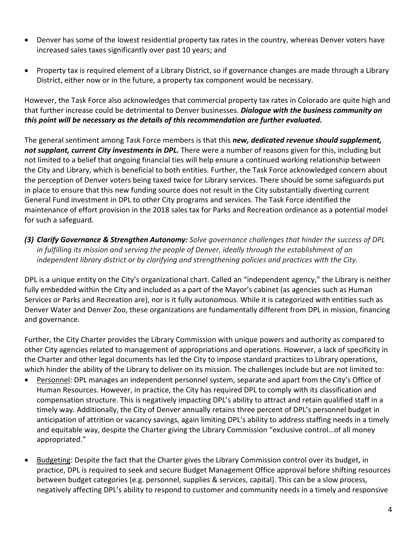- Denver has some of the lowest residential property tax rates in the country, whereas Denver voters have increased sales taxes significantly over past 10 years; and
- Property tax is required element of a Library District, so if governance changes are made through a Library District, either now or in the future, a property tax component would be necessary.

However, the Task Force also acknowledges that commercial property tax rates in Colorado are quite high and that further increase could be detrimental to Denver businesses. *Dialogue with the business community on this point will be necessary as the details of this recommendation are further evaluated.*

The general sentiment among Task Force members is that this *new, dedicated revenue should supplement, not supplant, current City investments in DPL.* There were a number of reasons given for this, including but not limited to a belief that ongoing financial ties will help ensure a continued working relationship between the City and Library, which is beneficial to both entities. Further, the Task Force acknowledged concern about the perception of Denver voters being taxed twice for Library services. There should be some safeguards put in place to ensure that this new funding source does not result in the City substantially diverting current General Fund investment in DPL to other City programs and services. The Task Force identified the maintenance of effort provision in the 2018 sales tax for Parks and Recreation ordinance as a potential model for such a safeguard.

*(3) Clarify Governance & Strengthen Autonomy: Solve governance challenges that hinder the success of DPL in fulfilling its mission and serving the people of Denver, ideally through the establishment of an independent library district or by clarifying and strengthening policies and practices with the City.*

DPL is a unique entity on the City's organizational chart. Called an "independent agency," the Library is neither fully embedded within the City and included as a part of the Mayor's cabinet (as agencies such as Human Services or Parks and Recreation are), nor is it fully autonomous. While it is categorized with entities such as Denver Water and Denver Zoo, these organizations are fundamentally different from DPL in mission, financing and governance.

Further, the City Charter provides the Library Commission with unique powers and authority as compared to other City agencies related to management of appropriations and operations. However, a lack of specificity in the Charter and other legal documents has led the City to impose standard practices to Library operations, which hinder the ability of the Library to deliver on its mission*.* The challenges include but are not limited to:

- Personnel: DPL manages an independent personnel system, separate and apart from the City's Office of Human Resources. However, in practice, the City has required DPL to comply with its classification and compensation structure. This is negatively impacting DPL's ability to attract and retain qualified staff in a timely way. Additionally, the City of Denver annually retains three percent of DPL's personnel budget in anticipation of attrition or vacancy savings, again limiting DPL's ability to address staffing needs in a timely and equitable way, despite the Charter giving the Library Commission "exclusive control…of all money appropriated."
- Budgeting: Despite the fact that the Charter gives the Library Commission control over its budget, in practice, DPL is required to seek and secure Budget Management Office approval before shifting resources between budget categories (e.g. personnel, supplies & services, capital). This can be a slow process, negatively affecting DPL's ability to respond to customer and community needs in a timely and responsive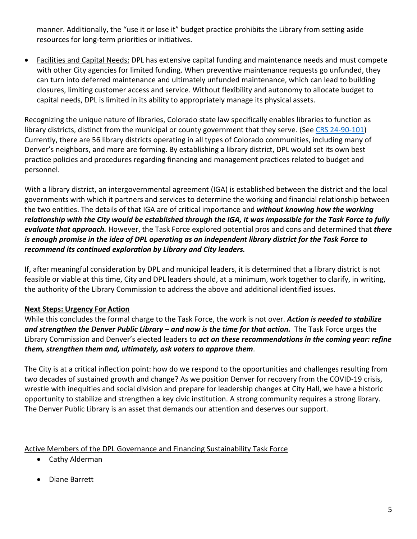manner. Additionally, the "use it or lose it" budget practice prohibits the Library from setting aside resources for long-term priorities or initiatives.

• Facilities and Capital Needs: DPL has extensive capital funding and maintenance needs and must compete with other City agencies for limited funding. When preventive maintenance requests go unfunded, they can turn into deferred maintenance and ultimately unfunded maintenance, which can lead to building closures, limiting customer access and service. Without flexibility and autonomy to allocate budget to capital needs, DPL is limited in its ability to appropriately manage its physical assets.

Recognizing the unique nature of libraries, Colorado state law specifically enables libraries to function as library districts, distinct from the municipal or county government that they serve. (See [CRS 24-90-101\)](https://www.cde.state.co.us/cdelib/colibrarylaw) Currently, there are 56 library districts operating in all types of Colorado communities, including many of Denver's neighbors, and more are forming. By establishing a library district, DPL would set its own best practice policies and procedures regarding financing and management practices related to budget and personnel.

With a library district, an intergovernmental agreement (IGA) is established between the district and the local governments with which it partners and services to determine the working and financial relationship between the two entities. The details of that IGA are of critical importance and *without knowing how the working relationship with the City would be established through the IGA, it was impossible for the Task Force to fully evaluate that approach.* However, the Task Force explored potential pros and cons and determined that *there is enough promise in the idea of DPL operating as an independent library district for the Task Force to recommend its continued exploration by Library and City leaders.*

If, after meaningful consideration by DPL and municipal leaders, it is determined that a library district is not feasible or viable at this time, City and DPL leaders should, at a minimum, work together to clarify, in writing, the authority of the Library Commission to address the above and additional identified issues.

# **Next Steps: Urgency For Action**

While this concludes the formal charge to the Task Force, the work is not over. *Action is needed to stabilize and strengthen the Denver Public Library – and now is the time for that action.* The Task Force urges the Library Commission and Denver's elected leaders to *act on these recommendations in the coming year: refine them, strengthen them and, ultimately, ask voters to approve them*.

The City is at a critical inflection point: how do we respond to the opportunities and challenges resulting from two decades of sustained growth and change? As we position Denver for recovery from the COVID-19 crisis, wrestle with inequities and social division and prepare for leadership changes at City Hall, we have a historic opportunity to stabilize and strengthen a key civic institution. A strong community requires a strong library. The Denver Public Library is an asset that demands our attention and deserves our support.

Active Members of the DPL Governance and Financing Sustainability Task Force

- Cathy Alderman
- Diane Barrett